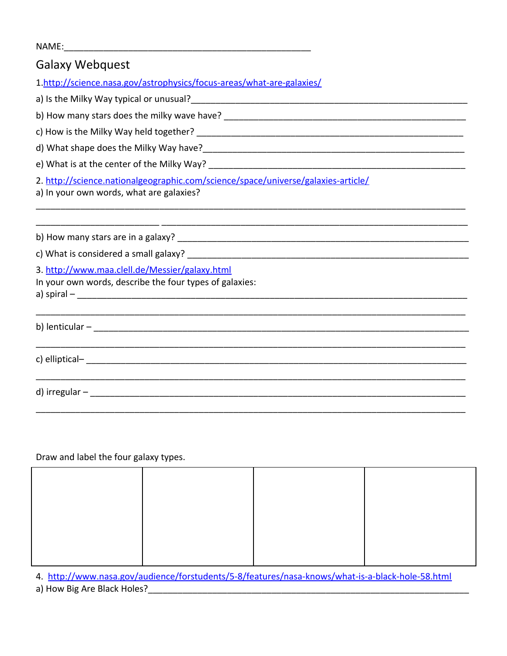## NAME:\_\_\_\_\_\_\_\_\_\_\_\_\_\_\_\_\_\_\_\_\_\_\_\_\_\_\_\_\_\_\_\_\_\_\_\_\_\_\_\_\_\_\_\_\_\_\_\_\_\_

| <b>Galaxy Webquest</b>                                                                                                        |  |  |  |  |
|-------------------------------------------------------------------------------------------------------------------------------|--|--|--|--|
| 1.http://science.nasa.gov/astrophysics/focus-areas/what-are-galaxies/                                                         |  |  |  |  |
|                                                                                                                               |  |  |  |  |
|                                                                                                                               |  |  |  |  |
|                                                                                                                               |  |  |  |  |
|                                                                                                                               |  |  |  |  |
| e) What is at the center of the Milky Way?<br>and the Milky Way?                                                              |  |  |  |  |
| 2. http://science.nationalgeographic.com/science/space/universe/galaxies-article/<br>a) In your own words, what are galaxies? |  |  |  |  |
|                                                                                                                               |  |  |  |  |
|                                                                                                                               |  |  |  |  |
| 3. http://www.maa.clell.de/Messier/galaxy.html<br>In your own words, describe the four types of galaxies:                     |  |  |  |  |
|                                                                                                                               |  |  |  |  |
|                                                                                                                               |  |  |  |  |
|                                                                                                                               |  |  |  |  |
|                                                                                                                               |  |  |  |  |

## Draw and label the four galaxy types.

4. <http://www.nasa.gov/audience/forstudents/5-8/features/nasa-knows/what-is-a-black-hole-58.html>

a) How Big Are Black Holes?\_\_\_\_\_\_\_\_\_\_\_\_\_\_\_\_\_\_\_\_\_\_\_\_\_\_\_\_\_\_\_\_\_\_\_\_\_\_\_\_\_\_\_\_\_\_\_\_\_\_\_\_\_\_\_\_\_\_\_\_\_\_\_\_\_